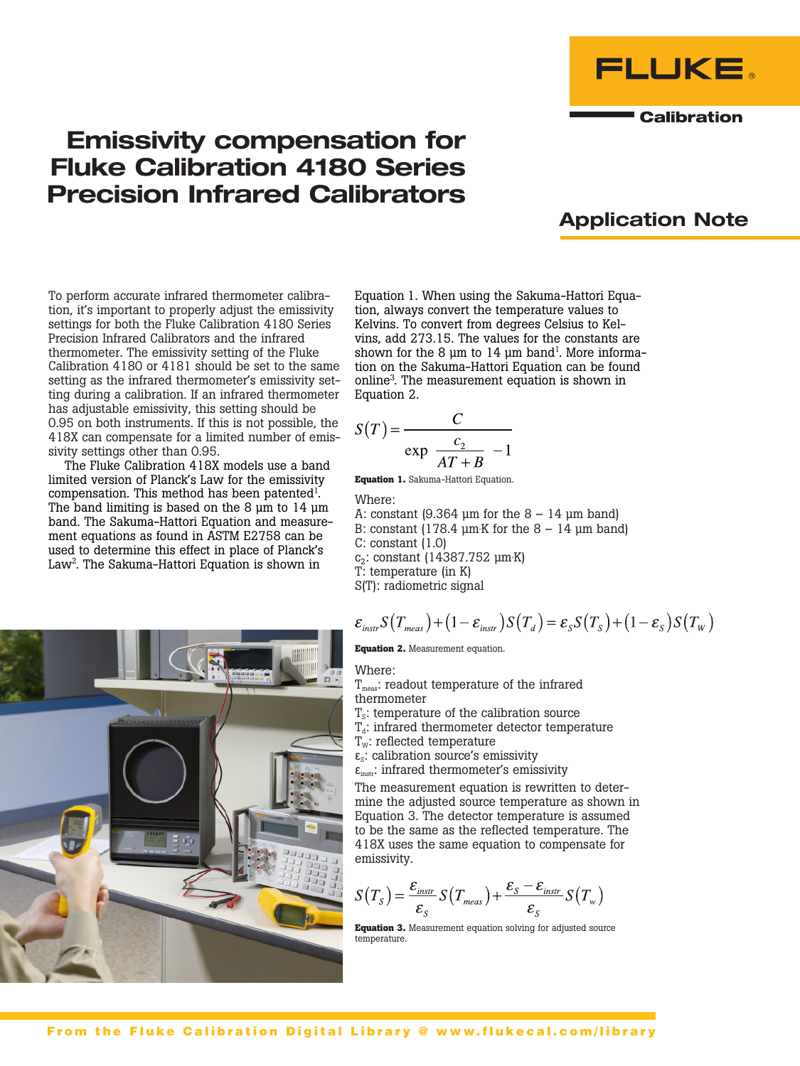



FLUKE

**Calibration** 

To perform accurate infrared thermometer calibration, it's important to properly adjust the emissivity settings for both the Fluke Calibration 4180 Series Precision Infrared Calibrators and the infrared thermometer. The emissivity setting of the Fluke Calibration 4180 or 4181 should be set to the same setting as the infrared thermometer's emissivity setting during a calibration. If an infrared thermometer has adjustable emissivity, this setting should be 0.95 on both instruments. If this is not possible, the 418X can compensate for a limited number of emissivity settings other than 0.95.

The Fluke Calibration 418X models use a band limited version of Planck's Law for the emissivity compensation. This method has been patented<sup>1</sup>. The band limiting is based on the 8  $\mu$ m to 14  $\mu$ m band. The Sakuma-Hattori Equation and measurement equations as found in ASTM E2758 can be used to determine this effect in place of Planck's Law<sup>2</sup>. The Sakuma-Hattori Equation is shown in



Equation 1. When using the Sakuma-Hattori Equation, always convert the temperature values to Kelvins. To convert from degrees Celsius to Kelvins, add 273.15. The values for the constants are shown for the 8  $\mu$ m to 14  $\mu$ m band<sup>1</sup>. More information on the Sakuma-Hattori Equation can be found online3 . The measurement equation is shown in Equation 2.

$$
S(T) = \frac{C}{\exp \frac{c_2}{AT + B} - 1}
$$

**Equation 1.** Sakuma-Hattori Equation.

Where:

A: constant  $(9.364 \text{ µm}$  for the  $8 - 14 \text{ µm}$  band)

B: constant (178.4  $\mu$ m $\cdot$ K for the 8 – 14  $\mu$ m band)

C: constant (1.0)

 $c_2$ : constant (14387.752 µm $K$ )

T: temperature (in K)

S(T): radiometric signal

$$
\varepsilon_{\text{instr}} S(T_{\text{meas}}) + (1 - \varepsilon_{\text{instr}}) S(T_d) = \varepsilon_s S(T_s) + (1 - \varepsilon_s) S(T_w)
$$

**Equation 2.** Measurement equation.

Where:

 $T_{\text{meas}}$ : readout temperature of the infrared thermometer

- $T<sub>s</sub>$ : temperature of the calibration source
- $T_d$ : infrared thermometer detector temperature
- $T_w$ : reflected temperature
- $\varepsilon_{s}$ : calibration source's emissivity
- $\epsilon_{inst}$ : infrared thermometer's emissivity

The measurement equation is rewritten to determine the adjusted source temperature as shown in Equation 3. The detector temperature is assumed to be the same as the reflected temperature. The 418X uses the same equation to compensate for emissivity.

$$
S(T_{S}) = \frac{\varepsilon_{instr}}{\varepsilon_{S}} S(T_{meas}) + \frac{\varepsilon_{S} - \varepsilon_{instr}}{\varepsilon_{S}} S(T_{w})
$$

**Equation 3.** Measurement equation solving for adjusted source temperature.